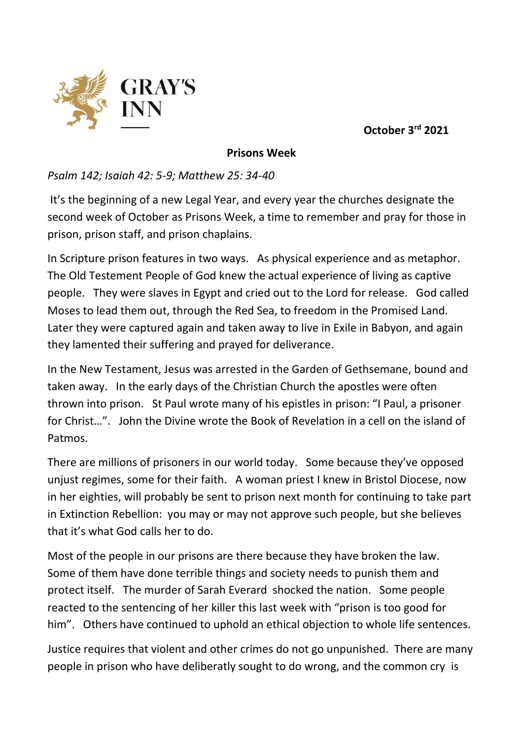

**October 3rd 2021**

## **Prisons Week**

## *Psalm 142; Isaiah 42: 5-9; Matthew 25: 34-40*

It's the beginning of a new Legal Year, and every year the churches designate the second week of October as Prisons Week, a time to remember and pray for those in prison, prison staff, and prison chaplains.

In Scripture prison features in two ways. As physical experience and as metaphor. The Old Testement People of God knew the actual experience of living as captive people. They were slaves in Egypt and cried out to the Lord for release. God called Moses to lead them out, through the Red Sea, to freedom in the Promised Land. Later they were captured again and taken away to live in Exile in Babyon, and again they lamented their suffering and prayed for deliverance.

In the New Testament, Jesus was arrested in the Garden of Gethsemane, bound and taken away. In the early days of the Christian Church the apostles were often thrown into prison. St Paul wrote many of his epistles in prison: "I Paul, a prisoner for Christ…". John the Divine wrote the Book of Revelation in a cell on the island of Patmos.

There are millions of prisoners in our world today. Some because they've opposed unjust regimes, some for their faith. A woman priest I knew in Bristol Diocese, now in her eighties, will probably be sent to prison next month for continuing to take part in Extinction Rebellion: you may or may not approve such people, but she believes that it's what God calls her to do.

Most of the people in our prisons are there because they have broken the law. Some of them have done terrible things and society needs to punish them and protect itself. The murder of Sarah Everard shocked the nation. Some people reacted to the sentencing of her killer this last week with "prison is too good for him". Others have continued to uphold an ethical objection to whole life sentences.

Justice requires that violent and other crimes do not go unpunished. There are many people in prison who have deliberatly sought to do wrong, and the common cry is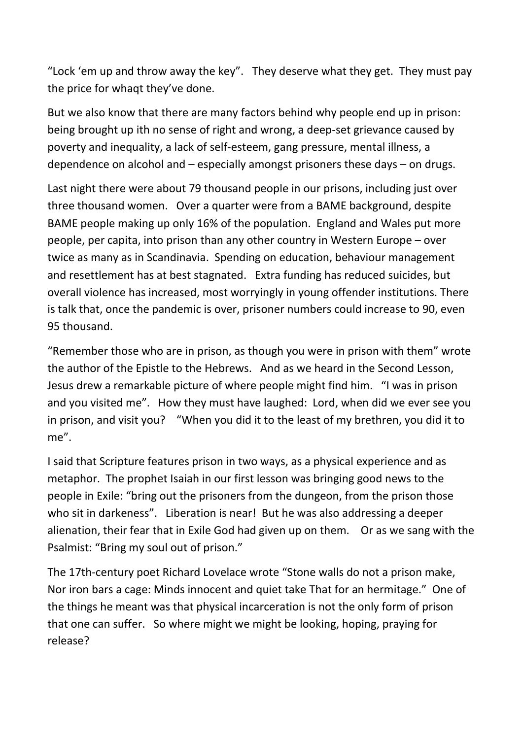"Lock 'em up and throw away the key". They deserve what they get. They must pay the price for whaqt they've done.

But we also know that there are many factors behind why people end up in prison: being brought up ith no sense of right and wrong, a deep-set grievance caused by poverty and inequality, a lack of self-esteem, gang pressure, mental illness, a dependence on alcohol and – especially amongst prisoners these days – on drugs.

Last night there were about 79 thousand people in our prisons, including just over three thousand women. Over a quarter were from a BAME background, despite BAME people making up only 16% of the population. England and Wales put more people, per capita, into prison than any other country in Western Europe – over twice as many as in Scandinavia. Spending on education, behaviour management and resettlement has at best stagnated. Extra funding has reduced suicides, but overall violence has increased, most worryingly in young offender institutions. There is talk that, once the pandemic is over, prisoner numbers could increase to 90, even 95 thousand.

"Remember those who are in prison, as though you were in prison with them" wrote the author of the Epistle to the Hebrews. And as we heard in the Second Lesson, Jesus drew a remarkable picture of where people might find him. "I was in prison and you visited me". How they must have laughed: Lord, when did we ever see you in prison, and visit you? "When you did it to the least of my brethren, you did it to me".

I said that Scripture features prison in two ways, as a physical experience and as metaphor. The prophet Isaiah in our first lesson was bringing good news to the people in Exile: "bring out the prisoners from the dungeon, from the prison those who sit in darkeness". Liberation is near! But he was also addressing a deeper alienation, their fear that in Exile God had given up on them. Or as we sang with the Psalmist: "Bring my soul out of prison."

The 17th-century poet Richard Lovelace wrote "Stone walls do not a prison make, Nor iron bars a cage: Minds innocent and quiet take That for an hermitage." One of the things he meant was that physical incarceration is not the only form of prison that one can suffer. So where might we might be looking, hoping, praying for release?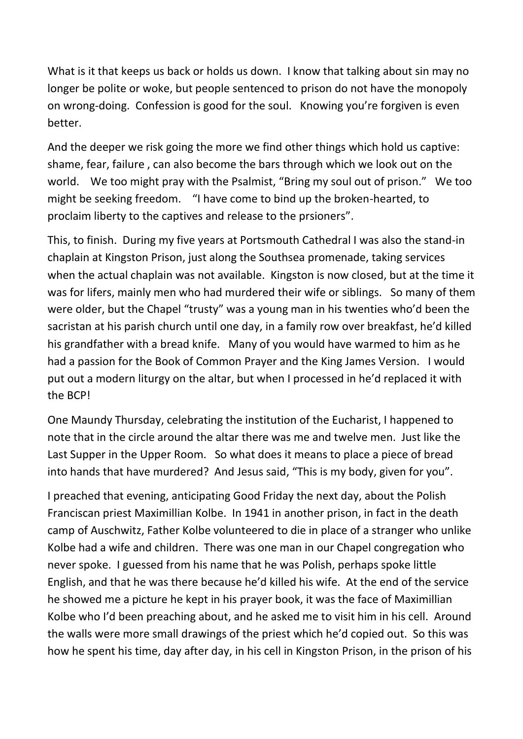What is it that keeps us back or holds us down. I know that talking about sin may no longer be polite or woke, but people sentenced to prison do not have the monopoly on wrong-doing. Confession is good for the soul. Knowing you're forgiven is even better.

And the deeper we risk going the more we find other things which hold us captive: shame, fear, failure , can also become the bars through which we look out on the world. We too might pray with the Psalmist, "Bring my soul out of prison." We too might be seeking freedom. "I have come to bind up the broken-hearted, to proclaim liberty to the captives and release to the prsioners".

This, to finish. During my five years at Portsmouth Cathedral I was also the stand-in chaplain at Kingston Prison, just along the Southsea promenade, taking services when the actual chaplain was not available. Kingston is now closed, but at the time it was for lifers, mainly men who had murdered their wife or siblings. So many of them were older, but the Chapel "trusty" was a young man in his twenties who'd been the sacristan at his parish church until one day, in a family row over breakfast, he'd killed his grandfather with a bread knife. Many of you would have warmed to him as he had a passion for the Book of Common Prayer and the King James Version. I would put out a modern liturgy on the altar, but when I processed in he'd replaced it with the BCP!

One Maundy Thursday, celebrating the institution of the Eucharist, I happened to note that in the circle around the altar there was me and twelve men. Just like the Last Supper in the Upper Room. So what does it means to place a piece of bread into hands that have murdered? And Jesus said, "This is my body, given for you".

I preached that evening, anticipating Good Friday the next day, about the Polish Franciscan priest Maximillian Kolbe. In 1941 in another prison, in fact in the death camp of Auschwitz, Father Kolbe volunteered to die in place of a stranger who unlike Kolbe had a wife and children. There was one man in our Chapel congregation who never spoke. I guessed from his name that he was Polish, perhaps spoke little English, and that he was there because he'd killed his wife. At the end of the service he showed me a picture he kept in his prayer book, it was the face of Maximillian Kolbe who I'd been preaching about, and he asked me to visit him in his cell. Around the walls were more small drawings of the priest which he'd copied out. So this was how he spent his time, day after day, in his cell in Kingston Prison, in the prison of his